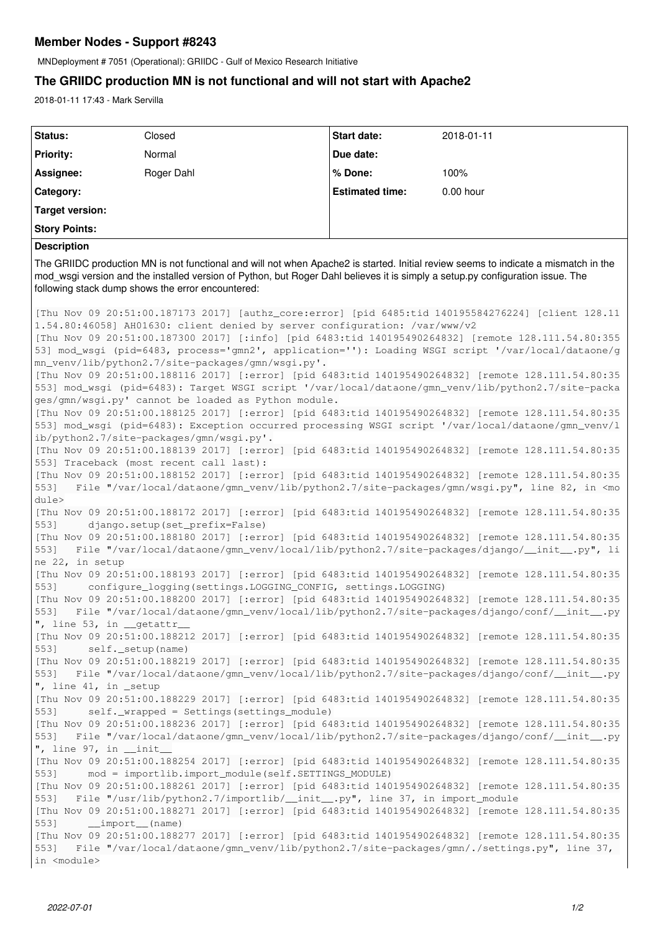## **Member Nodes - Support #8243**

MNDeployment # 7051 (Operational): GRIIDC - Gulf of Mexico Research Initiative

# **The GRIIDC production MN is not functional and will not start with Apache2**

2018-01-11 17:43 - Mark Servilla

| Status:                                                                                                                                                                                                                                                                                                                                                                                                                                                                                                                                                                                                                                                                                                                                                                                                                                                                                                                                                                      | Closed                                                                                                                                                                                                                                                                                                                                                                                                                           | <b>Start date:</b>     | 2018-01-11 |
|------------------------------------------------------------------------------------------------------------------------------------------------------------------------------------------------------------------------------------------------------------------------------------------------------------------------------------------------------------------------------------------------------------------------------------------------------------------------------------------------------------------------------------------------------------------------------------------------------------------------------------------------------------------------------------------------------------------------------------------------------------------------------------------------------------------------------------------------------------------------------------------------------------------------------------------------------------------------------|----------------------------------------------------------------------------------------------------------------------------------------------------------------------------------------------------------------------------------------------------------------------------------------------------------------------------------------------------------------------------------------------------------------------------------|------------------------|------------|
| <b>Priority:</b>                                                                                                                                                                                                                                                                                                                                                                                                                                                                                                                                                                                                                                                                                                                                                                                                                                                                                                                                                             | Normal                                                                                                                                                                                                                                                                                                                                                                                                                           | Due date:              |            |
| Assignee:                                                                                                                                                                                                                                                                                                                                                                                                                                                                                                                                                                                                                                                                                                                                                                                                                                                                                                                                                                    | Roger Dahl                                                                                                                                                                                                                                                                                                                                                                                                                       | % Done:                | 100%       |
| Category:                                                                                                                                                                                                                                                                                                                                                                                                                                                                                                                                                                                                                                                                                                                                                                                                                                                                                                                                                                    |                                                                                                                                                                                                                                                                                                                                                                                                                                  | <b>Estimated time:</b> | 0.00 hour  |
| <b>Target version:</b>                                                                                                                                                                                                                                                                                                                                                                                                                                                                                                                                                                                                                                                                                                                                                                                                                                                                                                                                                       |                                                                                                                                                                                                                                                                                                                                                                                                                                  |                        |            |
| <b>Story Points:</b>                                                                                                                                                                                                                                                                                                                                                                                                                                                                                                                                                                                                                                                                                                                                                                                                                                                                                                                                                         |                                                                                                                                                                                                                                                                                                                                                                                                                                  |                        |            |
| <b>Description</b>                                                                                                                                                                                                                                                                                                                                                                                                                                                                                                                                                                                                                                                                                                                                                                                                                                                                                                                                                           |                                                                                                                                                                                                                                                                                                                                                                                                                                  |                        |            |
| The GRIIDC production MN is not functional and will not when Apache2 is started. Initial review seems to indicate a mismatch in the<br>mod_wsgi version and the installed version of Python, but Roger Dahl believes it is simply a setup.py configuration issue. The<br>following stack dump shows the error encountered:                                                                                                                                                                                                                                                                                                                                                                                                                                                                                                                                                                                                                                                   |                                                                                                                                                                                                                                                                                                                                                                                                                                  |                        |            |
| [Thu Nov 09 20:51:00.187173 2017] [authz_core:error] [pid 6485:tid 140195584276224] [client 128.11<br>1.54.80:46058] AH01630: client denied by server configuration: /var/www/v2<br>[Thu Nov 09 20:51:00.187300 2017] [:info] [pid 6483:tid 140195490264832] [remote 128.111.54.80:355<br>53] mod_wsgi (pid=6483, process='gmn2', application=''): Loading WSGI script '/var/local/dataone/g<br>mn_venv/lib/python2.7/site-packages/gmn/wsgi.py'.<br>[Thu Nov 09 20:51:00.188116 2017] [:error] [pid 6483:tid 140195490264832] [remote 128.111.54.80:35<br>553] mod_wsqi (pid=6483): Target WSGI script '/var/local/dataone/qmn_venv/lib/python2.7/site-packa<br>ges/gmn/wsgi.py' cannot be loaded as Python module.<br>[Thu Nov 09 20:51:00.188125 2017] [:error] [pid 6483:tid 140195490264832] [remote 128.111.54.80:35<br>553] mod_wsgi (pid=6483): Exception occurred processing WSGI script '/var/local/dataone/gmn_venv/l<br>ib/python2.7/site-packages/gmn/wsgi.py'. |                                                                                                                                                                                                                                                                                                                                                                                                                                  |                        |            |
| 5531<br>dule>                                                                                                                                                                                                                                                                                                                                                                                                                                                                                                                                                                                                                                                                                                                                                                                                                                                                                                                                                                | [Thu Nov 09 20:51:00.188139 2017] [:error] [pid 6483:tid 140195490264832] [remote 128.111.54.80:35<br>553] Traceback (most recent call last):<br>[Thu Nov 09 20:51:00.188152 2017] [:error] [pid 6483:tid 140195490264832] [remote 128.111.54.80:35<br>File "/var/local/dataone/gmn_venv/lib/python2.7/site-packages/gmn/wsgi.py", line 82, in <mo< td=""><td></td><td></td></mo<>                                               |                        |            |
| 5531<br>5531<br>ne 22, in setup                                                                                                                                                                                                                                                                                                                                                                                                                                                                                                                                                                                                                                                                                                                                                                                                                                                                                                                                              | [Thu Nov 09 20:51:00.188172 2017] [:error] [pid 6483:tid 140195490264832] [remote 128.111.54.80:35<br>django.setup(set_prefix=False)<br>[Thu Nov 09 20:51:00.188180 2017] [:error] [pid 6483:tid 140195490264832] [remote 128.111.54.80:35<br>File "/var/local/dataone/gmn_venv/local/lib/python2.7/site-packages/django/__init__.py", li                                                                                        |                        |            |
| 553]<br>5531<br>", line 53, in $\_$ getattr $\_$                                                                                                                                                                                                                                                                                                                                                                                                                                                                                                                                                                                                                                                                                                                                                                                                                                                                                                                             | [Thu Nov 09 20:51:00.188193 2017] [:error] [pid 6483:tid 140195490264832] [remote 128.111.54.80:35<br>configure_logging(settings.LOGGING_CONFIG, settings.LOGGING)<br>[Thu Nov 09 20:51:00.188200 2017] [:error] [pid 6483:tid 140195490264832] [remote 128.111.54.80:35<br>File "/var/local/dataone/gmn_venv/local/lib/python2.7/site-packages/django/conf/_init__.py                                                           |                        |            |
| 5531<br>553]<br>", line 41, in _setup                                                                                                                                                                                                                                                                                                                                                                                                                                                                                                                                                                                                                                                                                                                                                                                                                                                                                                                                        | [Thu Nov 09 20:51:00.188212 2017] [:error] [pid 6483:tid 140195490264832] [remote 128.111.54.80:35<br>self._setup(name)<br>[Thu Nov 09 20:51:00.188219 2017] [:error] [pid 6483:tid 140195490264832] [remote 128.111.54.80:35<br>File "/var/local/dataone/gmn_venv/local/lib/python2.7/site-packages/django/conf/_init_.py<br>[Thu Nov 09 20:51:00.188229 2017] [:error] [pid 6483:tid 140195490264832] [remote 128.111.54.80:35 |                        |            |
| 5531<br>5531<br>", line $97$ , in __init__                                                                                                                                                                                                                                                                                                                                                                                                                                                                                                                                                                                                                                                                                                                                                                                                                                                                                                                                   | self._wrapped = Settings (settings_module)<br>[Thu Nov 09 20:51:00.188236 2017] [:error] [pid 6483:tid 140195490264832] [remote 128.111.54.80:35<br>File "/var/local/dataone/gmn_venv/local/lib/python2.7/site-packages/django/conf/_init__.py                                                                                                                                                                                   |                        |            |
| [Thu Nov 09 20:51:00.188254 2017] [:error] [pid 6483:tid 140195490264832] [remote 128.111.54.80:35<br>mod = importlib.import_module(self.SETTINGS_MODULE)<br>5531<br>[Thu Nov 09 20:51:00.188261 2017] [:error] [pid 6483:tid 140195490264832] [remote 128.111.54.80:35<br>File "/usr/lib/python2.7/importlib/_init_.py", line 37, in import_module<br>5531<br>[Thu Nov 09 20:51:00.188271 2017] [:error] [pid 6483:tid 140195490264832] [remote 128.111.54.80:35<br>5531<br>__import__(name)<br>[Thu Nov 09 20:51:00.188277 2017] [:error] [pid 6483:tid 140195490264832] [remote 128.111.54.80:35<br>File "/var/local/dataone/qmn_venv/lib/python2.7/site-packages/qmn/./settings.py", line 37,                                                                                                                                                                                                                                                                            |                                                                                                                                                                                                                                                                                                                                                                                                                                  |                        |            |
| 5531<br>in <module></module>                                                                                                                                                                                                                                                                                                                                                                                                                                                                                                                                                                                                                                                                                                                                                                                                                                                                                                                                                 |                                                                                                                                                                                                                                                                                                                                                                                                                                  |                        |            |